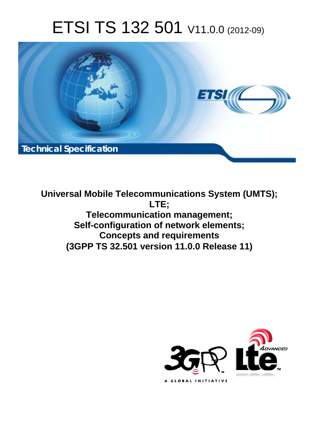# ETSI TS 132 501 V11.0.0 (2012-09)



**Universal Mobile Telecommunications System (UMTS); LTE; Telecommunication management; Self-configuration of network elements; Concepts and requirements (3GPP TS 32.501 version 11.0.0 Release 11)** 

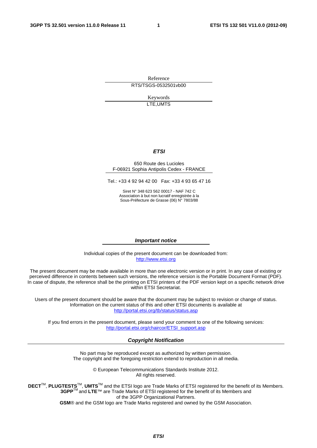Reference RTS/TSGS-0532501vb00

> Keywords LTE,UMTS

#### *ETSI*

#### 650 Route des Lucioles F-06921 Sophia Antipolis Cedex - FRANCE

Tel.: +33 4 92 94 42 00 Fax: +33 4 93 65 47 16

Siret N° 348 623 562 00017 - NAF 742 C Association à but non lucratif enregistrée à la Sous-Préfecture de Grasse (06) N° 7803/88

#### *Important notice*

Individual copies of the present document can be downloaded from: [http://www.etsi.org](http://www.etsi.org/)

The present document may be made available in more than one electronic version or in print. In any case of existing or perceived difference in contents between such versions, the reference version is the Portable Document Format (PDF). In case of dispute, the reference shall be the printing on ETSI printers of the PDF version kept on a specific network drive within ETSI Secretariat.

Users of the present document should be aware that the document may be subject to revision or change of status. Information on the current status of this and other ETSI documents is available at <http://portal.etsi.org/tb/status/status.asp>

If you find errors in the present document, please send your comment to one of the following services: [http://portal.etsi.org/chaircor/ETSI\\_support.asp](http://portal.etsi.org/chaircor/ETSI_support.asp)

#### *Copyright Notification*

No part may be reproduced except as authorized by written permission. The copyright and the foregoing restriction extend to reproduction in all media.

> © European Telecommunications Standards Institute 2012. All rights reserved.

DECT<sup>™</sup>, PLUGTESTS<sup>™</sup>, UMTS<sup>™</sup> and the ETSI logo are Trade Marks of ETSI registered for the benefit of its Members. **3GPP**TM and **LTE**™ are Trade Marks of ETSI registered for the benefit of its Members and of the 3GPP Organizational Partners.

**GSM**® and the GSM logo are Trade Marks registered and owned by the GSM Association.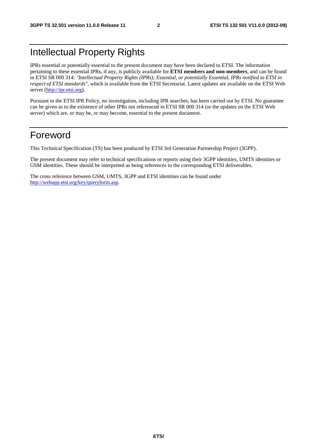# Intellectual Property Rights

IPRs essential or potentially essential to the present document may have been declared to ETSI. The information pertaining to these essential IPRs, if any, is publicly available for **ETSI members and non-members**, and can be found in ETSI SR 000 314: *"Intellectual Property Rights (IPRs); Essential, or potentially Essential, IPRs notified to ETSI in respect of ETSI standards"*, which is available from the ETSI Secretariat. Latest updates are available on the ETSI Web server ([http://ipr.etsi.org\)](http://webapp.etsi.org/IPR/home.asp).

Pursuant to the ETSI IPR Policy, no investigation, including IPR searches, has been carried out by ETSI. No guarantee can be given as to the existence of other IPRs not referenced in ETSI SR 000 314 (or the updates on the ETSI Web server) which are, or may be, or may become, essential to the present document.

# Foreword

This Technical Specification (TS) has been produced by ETSI 3rd Generation Partnership Project (3GPP).

The present document may refer to technical specifications or reports using their 3GPP identities, UMTS identities or GSM identities. These should be interpreted as being references to the corresponding ETSI deliverables.

The cross reference between GSM, UMTS, 3GPP and ETSI identities can be found under [http://webapp.etsi.org/key/queryform.asp.](http://webapp.etsi.org/key/queryform.asp)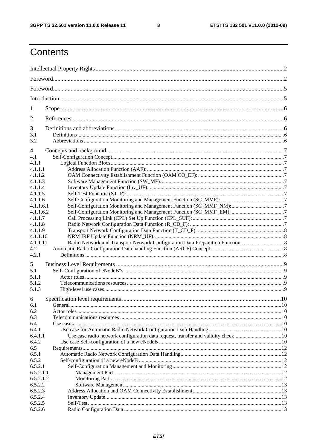$\mathbf{3}$ 

# Contents

| 1         |                                                                                  |  |  |  |  |  |
|-----------|----------------------------------------------------------------------------------|--|--|--|--|--|
| 2         |                                                                                  |  |  |  |  |  |
| 3         |                                                                                  |  |  |  |  |  |
| 3.1       |                                                                                  |  |  |  |  |  |
| 3.2       |                                                                                  |  |  |  |  |  |
| 4         |                                                                                  |  |  |  |  |  |
| 4.1       |                                                                                  |  |  |  |  |  |
| 4.1.1     |                                                                                  |  |  |  |  |  |
| 4.1.1.1   |                                                                                  |  |  |  |  |  |
| 4.1.1.2   |                                                                                  |  |  |  |  |  |
| 4.1.1.3   |                                                                                  |  |  |  |  |  |
| 4.1.1.4   |                                                                                  |  |  |  |  |  |
| 4.1.1.5   |                                                                                  |  |  |  |  |  |
| 4.1.1.6   |                                                                                  |  |  |  |  |  |
| 4.1.1.6.1 |                                                                                  |  |  |  |  |  |
| 4.1.1.6.2 |                                                                                  |  |  |  |  |  |
| 4.1.1.7   |                                                                                  |  |  |  |  |  |
| 4.1.1.8   |                                                                                  |  |  |  |  |  |
| 4.1.1.9   |                                                                                  |  |  |  |  |  |
| 4.1.1.10  |                                                                                  |  |  |  |  |  |
| 4.1.1.11  |                                                                                  |  |  |  |  |  |
| 4.2       |                                                                                  |  |  |  |  |  |
| 4.2.1     |                                                                                  |  |  |  |  |  |
| 5         |                                                                                  |  |  |  |  |  |
| 5.1       |                                                                                  |  |  |  |  |  |
| 5.1.1     |                                                                                  |  |  |  |  |  |
| 5.1.2     |                                                                                  |  |  |  |  |  |
| 5.1.3     |                                                                                  |  |  |  |  |  |
| 6         |                                                                                  |  |  |  |  |  |
| 6.1       |                                                                                  |  |  |  |  |  |
| 6.2       |                                                                                  |  |  |  |  |  |
| 6.3       |                                                                                  |  |  |  |  |  |
| 6.4       |                                                                                  |  |  |  |  |  |
| 6.4.1     |                                                                                  |  |  |  |  |  |
| 6.4.1.1   | Use case radio network configuration data request, transfer and validity check10 |  |  |  |  |  |
| 6.4.2     |                                                                                  |  |  |  |  |  |
| 6.5       |                                                                                  |  |  |  |  |  |
| 6.5.1     |                                                                                  |  |  |  |  |  |
| 6.5.2     |                                                                                  |  |  |  |  |  |
| 6.5.2.1   |                                                                                  |  |  |  |  |  |
| 6.5.2.1.1 |                                                                                  |  |  |  |  |  |
| 6.5.2.1.2 |                                                                                  |  |  |  |  |  |
| 6.5.2.2   |                                                                                  |  |  |  |  |  |
| 6.5.2.3   |                                                                                  |  |  |  |  |  |
| 6.5.2.4   |                                                                                  |  |  |  |  |  |
| 6.5.2.5   |                                                                                  |  |  |  |  |  |
| 6.5.2.6   |                                                                                  |  |  |  |  |  |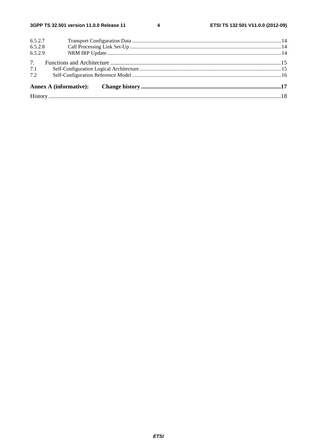$\overline{\mathbf{4}}$ 

| 7.2     |  |  |  |  |  |  |
|---------|--|--|--|--|--|--|
| 7.1     |  |  |  |  |  |  |
| 7.      |  |  |  |  |  |  |
| 6.5.2.9 |  |  |  |  |  |  |
| 6.5.2.8 |  |  |  |  |  |  |
| 6.5.2.7 |  |  |  |  |  |  |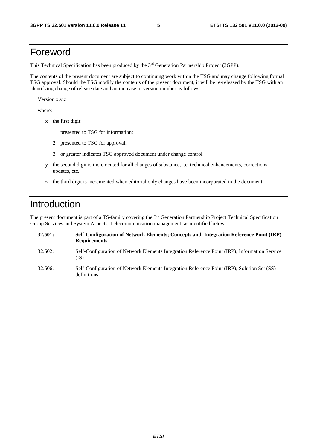# Foreword

This Technical Specification has been produced by the 3<sup>rd</sup> Generation Partnership Project (3GPP).

The contents of the present document are subject to continuing work within the TSG and may change following formal TSG approval. Should the TSG modify the contents of the present document, it will be re-released by the TSG with an identifying change of release date and an increase in version number as follows:

Version x.y.z

where:

- x the first digit:
	- 1 presented to TSG for information;
	- 2 presented to TSG for approval;
	- 3 or greater indicates TSG approved document under change control.
- y the second digit is incremented for all changes of substance, i.e. technical enhancements, corrections, updates, etc.
- z the third digit is incremented when editorial only changes have been incorporated in the document.

# Introduction

The present document is part of a TS-family covering the 3<sup>rd</sup> Generation Partnership Project Technical Specification Group Services and System Aspects, Telecommunication management; as identified below:

| 32.501: | Self-Configuration of Network Elements; Concepts and Integration Reference Point (IRP)<br><b>Requirements</b> |
|---------|---------------------------------------------------------------------------------------------------------------|
| 32.502: | Self-Configuration of Network Elements Integration Reference Point (IRP); Information Service<br>(IS)         |
| 32.506: | Self-Configuration of Network Elements Integration Reference Point (IRP); Solution Set (SS)<br>definitions    |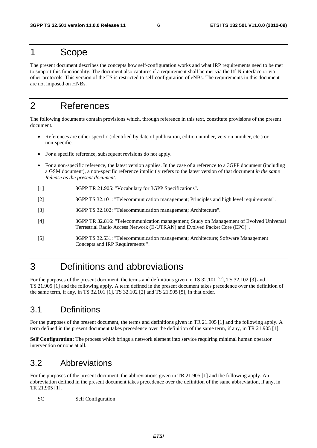# 1 Scope

The present document describes the concepts how self-configuration works and what IRP requirements need to be met to support this functionality. The document also captures if a requirement shall be met via the Itf-N interface or via other protocols. This version of the TS is restricted to self-configuration of eNBs. The requirements in this document are not imposed on HNBs.

# 2 References

The following documents contain provisions which, through reference in this text, constitute provisions of the present document.

- References are either specific (identified by date of publication, edition number, version number, etc.) or non-specific.
- For a specific reference, subsequent revisions do not apply.
- For a non-specific reference, the latest version applies. In the case of a reference to a 3GPP document (including a GSM document), a non-specific reference implicitly refers to the latest version of that document *in the same Release as the present document*.
- [1] 3GPP TR 21.905: "Vocabulary for 3GPP Specifications".
- [2] 3GPP TS 32.101: "Telecommunication management; Principles and high level requirements".
- [3] 3GPP TS 32.102: "Telecommunication management; Architecture".
- [4] 3GPP TR 32.816: "Telecommunication management; Study on Management of Evolved Universal Terrestrial Radio Access Network (E-UTRAN) and Evolved Packet Core (EPC)".
- [5] 3GPP TS 32.531: "Telecommunication management; Architecture; Software Management Concepts and IRP Requirements ".

# 3 Definitions and abbreviations

For the purposes of the present document, the terms and definitions given in TS 32.101 [2], TS 32.102 [3] and TS 21.905 [1] and the following apply. A term defined in the present document takes precedence over the definition of the same term, if any, in TS 32.101 [1], TS 32.102 [2] and TS 21.905 [5], in that order.

# 3.1 Definitions

For the purposes of the present document, the terms and definitions given in TR 21.905 [1] and the following apply. A term defined in the present document takes precedence over the definition of the same term, if any, in TR 21.905 [1].

**Self Configuration:** The process which brings a network element into service requiring minimal human operator intervention or none at all.

# 3.2 Abbreviations

For the purposes of the present document, the abbreviations given in TR 21.905 [1] and the following apply. An abbreviation defined in the present document takes precedence over the definition of the same abbreviation, if any, in TR 21.905 [1].

SC Self Configuration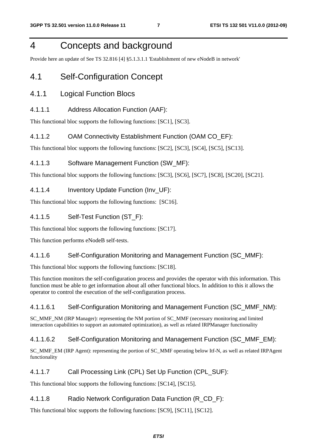# 4 Concepts and background

Provide here an update of See TS 32.816 [4] §5.1.3.1.1 'Establishment of new eNodeB in network'

# 4.1 Self-Configuration Concept

### 4.1.1 Logical Function Blocs

### 4.1.1.1 Address Allocation Function (AAF):

This functional bloc supports the following functions: [SC1], [SC3].

### 4.1.1.2 OAM Connectivity Establishment Function (OAM CO\_EF):

This functional bloc supports the following functions: [SC2], [SC3], [SC4], [SC5], [SC13].

### 4.1.1.3 Software Management Function (SW\_MF):

This functional bloc supports the following functions: [SC3], [SC6], [SC7], [SC8], [SC20], [SC21].

### 4.1.1.4 Inventory Update Function (Inv\_UF):

This functional bloc supports the following functions: [SC16].

### 4.1.1.5 Self-Test Function (ST\_F):

This functional bloc supports the following functions: [SC17].

This function performs eNodeB self-tests.

### 4.1.1.6 Self-Configuration Monitoring and Management Function (SC\_MMF):

This functional bloc supports the following functions: [SC18].

This function monitors the self-configuration process and provides the operator with this information. This function must be able to get information about all other functional blocs. In addition to this it allows the operator to control the execution of the self-configuration process.

### 4.1.1.6.1 Self-Configuration Monitoring and Management Function (SC\_MMF\_NM):

SC\_MMF\_NM (IRP Manager): representing the NM portion of SC\_MMF (necessary monitoring and limited interaction capabilities to support an automated optimization), as well as related IRPManager functionality

### 4.1.1.6.2 Self-Configuration Monitoring and Management Function (SC\_MMF\_EM):

SC\_MMF\_EM (IRP Agent): representing the portion of SC\_MMF operating below Itf-N, as well as related IRPAgent functionality

### 4.1.1.7 Call Processing Link (CPL) Set Up Function (CPL\_SUF):

This functional bloc supports the following functions: [SC14], [SC15].

### 4.1.1.8 Radio Network Configuration Data Function (R\_CD\_F):

This functional bloc supports the following functions: [SC9], [SC11], [SC12].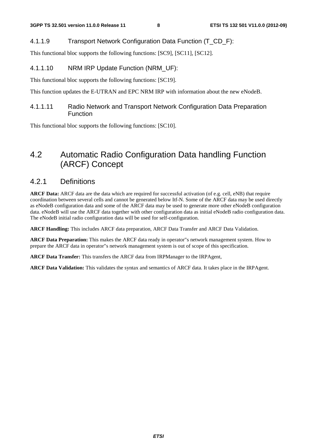### 4.1.1.9 Transport Network Configuration Data Function (T\_CD\_F):

This functional bloc supports the following functions: [SC9], [SC11], [SC12].

### 4.1.1.10 NRM IRP Update Function (NRM\_UF):

This functional bloc supports the following functions: [SC19].

This function updates the E-UTRAN and EPC NRM IRP with information about the new eNodeB.

### 4.1.1.11 Radio Network and Transport Network Configuration Data Preparation Function

This functional bloc supports the following functions: [SC10].

# 4.2 Automatic Radio Configuration Data handling Function (ARCF) Concept

### 4.2.1 Definitions

**ARCF Data:** ARCF data are the data which are required for successful activation (of e.g. cell, eNB) that require coordination between several cells and cannot be generated below Itf-N. Some of the ARCF data may be used directly as eNodeB configuration data and some of the ARCF data may be used to generate more other eNodeB configuration data. eNodeB will use the ARCF data together with other configuration data as initial eNodeB radio configuration data. The eNodeB initial radio configuration data will be used for self-configuration.

**ARCF Handling:** This includes ARCF data preparation, ARCF Data Transfer and ARCF Data Validation.

**ARCF Data Preparation:** This makes the ARCF data ready in operator"s network management system. How to prepare the ARCF data in operator"s network management system is out of scope of this specification.

**ARCF Data Transfer:** This transfers the ARCF data from IRPManager to the IRPAgent,

**ARCF Data Validation:** This validates the syntax and semantics of ARCF data. It takes place in the IRPAgent.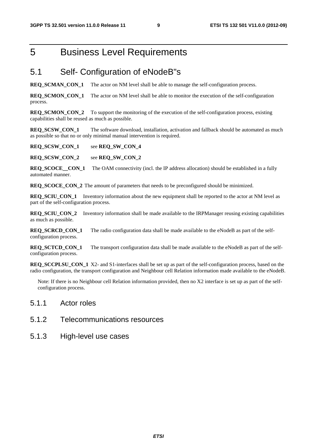# 5 Business Level Requirements

## 5.1 Self- Configuration of eNodeB"s

**REQ\_SCMAN\_CON\_1** The actor on NM level shall be able to manage the self-configuration process.

**REQ\_SCMON\_CON\_1** The actor on NM level shall be able to monitor the execution of the self-configuration process.

**REQ\_SCMON\_CON\_2** To support the monitoring of the execution of the self-configuration process, existing capabilities shall be reused as much as possible.

**REQ\_SCSW\_CON\_1** The software download, installation, activation and fallback should be automated as much as possible so that no or only minimal manual intervention is required.

**REQ\_SCSW\_CON\_1** see **REQ\_SW\_CON\_4**

**REQ\_SCSW\_CON\_2** see **REQ\_SW\_CON\_2**

**REQ\_SCOCE\_\_CON\_1** The OAM connectivity (incl. the IP address allocation) should be established in a fully automated manner.

**REQ\_SCOCE\_CON\_2** The amount of parameters that needs to be preconfigured should be minimized.

**REQ\_SCIU\_CON\_1** Inventory information about the new equipment shall be reported to the actor at NM level as part of the self-configuration process.

**REQ\_SCIU\_CON\_2** Inventory information shall be made available to the IRPManager reusing existing capabilities as much as possible.

**REQ\_SCRCD\_CON\_1** The radio configuration data shall be made available to the eNodeB as part of the selfconfiguration process.

**REQ\_SCTCD\_CON\_1** The transport configuration data shall be made available to the eNodeB as part of the selfconfiguration process.

**REQ\_SCCPLSU\_CON\_1** X2- and S1-interfaces shall be set up as part of the self-configuration process, based on the radio configuration, the transport configuration and Neighbour cell Relation information made available to the eNodeB.

Note: If there is no Neighbour cell Relation information provided, then no X2 interface is set up as part of the selfconfiguration process.

### 5.1.1 Actor roles

- 5.1.2 Telecommunications resources
- 5.1.3 High-level use cases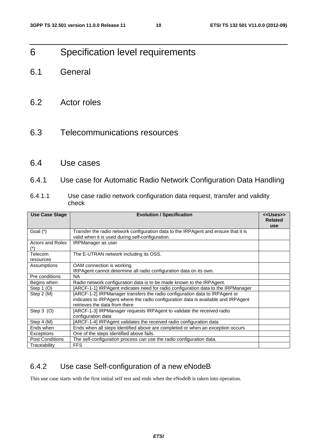# 6 Specification level requirements

- 6.1 General
- 6.2 Actor roles
- 6.3 Telecommunications resources
- 6.4 Use cases
- 6.4.1 Use case for Automatic Radio Network Configuration Data Handling
- 6.4.1.1 Use case radio network configuration data request, transfer and validity check

| <b>Use Case Stage</b>  | <b>Evolution / Specification</b>                                                    | < <uses>&gt;</uses> |  |  |  |
|------------------------|-------------------------------------------------------------------------------------|---------------------|--|--|--|
|                        |                                                                                     | <b>Related</b>      |  |  |  |
|                        |                                                                                     | use                 |  |  |  |
| Goal (*)               | Transfer the radio network configuration data to the IRPAgent and ensure that it is |                     |  |  |  |
|                        | valid when it is used during self-configuration.                                    |                     |  |  |  |
| Actors and Roles       | <b>IRPManager</b> as user                                                           |                     |  |  |  |
|                        |                                                                                     |                     |  |  |  |
| Telecom                | The E-UTRAN network including its OSS.                                              |                     |  |  |  |
| resources              |                                                                                     |                     |  |  |  |
| Assumptions            | OAM connection is working.                                                          |                     |  |  |  |
|                        | IRPAgent cannot determine all radio configuration data on its own.                  |                     |  |  |  |
| Pre conditions         | <b>NA</b>                                                                           |                     |  |  |  |
| Begins when            | Radio network configuration data is to be made known to the IRPAgent.               |                     |  |  |  |
| Step $1(0)$            | [ARCF-1-1] IRPAgent indicates need for radio configuration data to the IRPManager   |                     |  |  |  |
| Step 2 (M)             | [ARCF-1-2] IRPManager transfers the radio configuration data to IRPAgent or         |                     |  |  |  |
|                        | indicates to IRPAgent where the radio configuration data is available and IRPAgent  |                     |  |  |  |
|                        | retrieves the data from there                                                       |                     |  |  |  |
| Step $3$ (O)           | [ARCF-1-3] IRPManager requests IRPAgent to validate the received radio              |                     |  |  |  |
|                        | configuration data                                                                  |                     |  |  |  |
| Step 4 (M)             | [ARCF-1-4] IRPAgent validates the received radio configuration data                 |                     |  |  |  |
| Ends when              | Ends when all steps identified above are completed or when an exception occurs      |                     |  |  |  |
| Exceptions             | One of the steps identified above fails.                                            |                     |  |  |  |
| <b>Post Conditions</b> | The self-configuration process can use the radio configuration data.                |                     |  |  |  |
| Traceability           | <b>FFS</b>                                                                          |                     |  |  |  |

### 6.4.2 Use case Self-configuration of a new eNodeB

This use case starts with the first initial self test and ends when the eNodeB is taken into operation.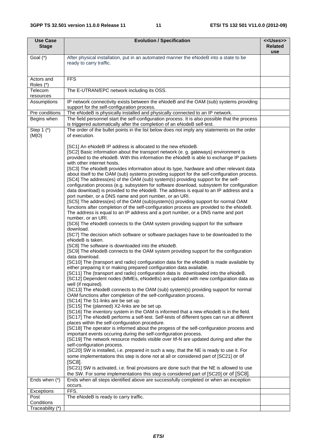| <b>Use Case</b><br><b>Stage</b> | <b>Evolution / Specification</b>                                                                                                                                                                                                                                                                                                                                                                                                                                                                                                                                                                                                                                                                                                                                                                                                                                                                                                                                                                                                                                                                                                                                                                                                                                                                                                                                                                                                                                                                                                                                                                                                                                                                                                                                                                                                                                                                                                                                                                                                                                                                                                                                                                                                                                                                                                                                                                                                                                                                                                                                                                                                                                                                                                                                                                                                                                                                                                                                                                                      | < <uses>&gt;<br/><b>Related</b></uses> |
|---------------------------------|-----------------------------------------------------------------------------------------------------------------------------------------------------------------------------------------------------------------------------------------------------------------------------------------------------------------------------------------------------------------------------------------------------------------------------------------------------------------------------------------------------------------------------------------------------------------------------------------------------------------------------------------------------------------------------------------------------------------------------------------------------------------------------------------------------------------------------------------------------------------------------------------------------------------------------------------------------------------------------------------------------------------------------------------------------------------------------------------------------------------------------------------------------------------------------------------------------------------------------------------------------------------------------------------------------------------------------------------------------------------------------------------------------------------------------------------------------------------------------------------------------------------------------------------------------------------------------------------------------------------------------------------------------------------------------------------------------------------------------------------------------------------------------------------------------------------------------------------------------------------------------------------------------------------------------------------------------------------------------------------------------------------------------------------------------------------------------------------------------------------------------------------------------------------------------------------------------------------------------------------------------------------------------------------------------------------------------------------------------------------------------------------------------------------------------------------------------------------------------------------------------------------------------------------------------------------------------------------------------------------------------------------------------------------------------------------------------------------------------------------------------------------------------------------------------------------------------------------------------------------------------------------------------------------------------------------------------------------------------------------------------------------------|----------------------------------------|
| Goal (*)                        | After physical installation, put in an automated manner the eNodeB into a state to be<br>ready to carry traffic.                                                                                                                                                                                                                                                                                                                                                                                                                                                                                                                                                                                                                                                                                                                                                                                                                                                                                                                                                                                                                                                                                                                                                                                                                                                                                                                                                                                                                                                                                                                                                                                                                                                                                                                                                                                                                                                                                                                                                                                                                                                                                                                                                                                                                                                                                                                                                                                                                                                                                                                                                                                                                                                                                                                                                                                                                                                                                                      | use                                    |
| Actors and<br>Roles (*)         | <b>FFS</b>                                                                                                                                                                                                                                                                                                                                                                                                                                                                                                                                                                                                                                                                                                                                                                                                                                                                                                                                                                                                                                                                                                                                                                                                                                                                                                                                                                                                                                                                                                                                                                                                                                                                                                                                                                                                                                                                                                                                                                                                                                                                                                                                                                                                                                                                                                                                                                                                                                                                                                                                                                                                                                                                                                                                                                                                                                                                                                                                                                                                            |                                        |
| Telecom<br>resources            | The E-UTRAN/EPC network including its OSS.                                                                                                                                                                                                                                                                                                                                                                                                                                                                                                                                                                                                                                                                                                                                                                                                                                                                                                                                                                                                                                                                                                                                                                                                                                                                                                                                                                                                                                                                                                                                                                                                                                                                                                                                                                                                                                                                                                                                                                                                                                                                                                                                                                                                                                                                                                                                                                                                                                                                                                                                                                                                                                                                                                                                                                                                                                                                                                                                                                            |                                        |
| Assumptions                     | IP network connectivity exists between the eNodeB and the OAM (sub) systems providing<br>support for the self-configuration process.                                                                                                                                                                                                                                                                                                                                                                                                                                                                                                                                                                                                                                                                                                                                                                                                                                                                                                                                                                                                                                                                                                                                                                                                                                                                                                                                                                                                                                                                                                                                                                                                                                                                                                                                                                                                                                                                                                                                                                                                                                                                                                                                                                                                                                                                                                                                                                                                                                                                                                                                                                                                                                                                                                                                                                                                                                                                                  |                                        |
| Pre conditions                  | The eNodeB is physically installed and physically connected to an IP network.                                                                                                                                                                                                                                                                                                                                                                                                                                                                                                                                                                                                                                                                                                                                                                                                                                                                                                                                                                                                                                                                                                                                                                                                                                                                                                                                                                                                                                                                                                                                                                                                                                                                                                                                                                                                                                                                                                                                                                                                                                                                                                                                                                                                                                                                                                                                                                                                                                                                                                                                                                                                                                                                                                                                                                                                                                                                                                                                         |                                        |
| Begins when                     | The field personnel start the self-configuration process. It is also possible that the process<br>is triggered automatically after the completion of an eNodeB self-test.                                                                                                                                                                                                                                                                                                                                                                                                                                                                                                                                                                                                                                                                                                                                                                                                                                                                                                                                                                                                                                                                                                                                                                                                                                                                                                                                                                                                                                                                                                                                                                                                                                                                                                                                                                                                                                                                                                                                                                                                                                                                                                                                                                                                                                                                                                                                                                                                                                                                                                                                                                                                                                                                                                                                                                                                                                             |                                        |
| Step $1$ $(*)$<br>(M O)         | The order of the bullet points in the list below does not imply any statements on the order<br>of execution.                                                                                                                                                                                                                                                                                                                                                                                                                                                                                                                                                                                                                                                                                                                                                                                                                                                                                                                                                                                                                                                                                                                                                                                                                                                                                                                                                                                                                                                                                                                                                                                                                                                                                                                                                                                                                                                                                                                                                                                                                                                                                                                                                                                                                                                                                                                                                                                                                                                                                                                                                                                                                                                                                                                                                                                                                                                                                                          |                                        |
|                                 | [SC1] An eNodeB IP address is allocated to the new eNodeB.<br>[SC2] Basic information about the transport network (e. g. gateways) environment is<br>provided to the eNodeB. With this information the eNodeB is able to exchange IP packets<br>with other internet hosts.<br>[SC3] The eNodeB provides information about its type, hardware and other relevant data<br>about itself to the OAM (sub) systems providing support for the self-configuration process.<br>[SC4] The address(es) of the OAM (sub) system(s) providing support for the self-<br>configuration process (e.g. subsystem for software download, subsystem for configuration<br>data download) is provided to the eNodeB. The address is equal to an IP address and a<br>port number, or a DNS name and port number, or an URI.<br>[SC5] The address(es) of the OAM (sub)system(s) providing support for normal OAM<br>functions after completion of the self-configuration process are provided to the eNodeB.<br>The address is equal to an IP address and a port number, or a DNS name and port<br>number, or an URI.<br>[SC6] The eNodeB connects to the OAM system providing support for the software<br>download.<br>[SC7] The decision which software or software packages have to be downloaded to the<br>eNodeB is taken.<br>[SC8] The software is downloaded into the eNodeB.<br>[SC9] The eNodeB connects to the OAM system providing support for the configuration<br>data download.<br>[SC10] The (transport and radio) configuration data for the eNodeB is made available by<br>either preparing it or making prepared configuration data available.<br>[SC11] The (transport and radio) configuration data is downloaded into the eNodeB.<br>[SC12] Dependent nodes (MMEs, eNodeBs) are updated with new configuration data as<br>well (if required).<br>[SC13] The eNodeB connects to the OAM (sub) system(s) providing support for normal<br>OAM functions after completion of the self-configuration process.<br>[SC14] The S1-links are be set up.<br>[SC15] The (planned) X2-links are be set up.<br>[SC16] The inventory system in the OAM is informed that a new eNodeB is in the field.<br>[SC17] The eNodeB performs a self-test. Self-tests of different types can run at different<br>places within the self-configuration procedure.<br>[SC18] The operator is informed about the progess of the self-configuration process and<br>important events occuring during the self-configuration process.<br>[SC19] The network resource models visible over Itf-N are updated during and after the<br>self-configuration process.<br>[SC20] SW is installed, i.e. prepared in such a way, that the NE is ready to use it. For<br>some implementations this step is done not at all or considered part of [SC21] or of<br>$[SC8]$ .<br>[SC21] SW is activated, i.e. final provisions are done such that the NE is allowed to use<br>the SW. For some implementations this step is considered part of [SC20] or of [SC8]. |                                        |
| Ends when (*)                   | Ends when all steps identified above are successfully completed or when an exception                                                                                                                                                                                                                                                                                                                                                                                                                                                                                                                                                                                                                                                                                                                                                                                                                                                                                                                                                                                                                                                                                                                                                                                                                                                                                                                                                                                                                                                                                                                                                                                                                                                                                                                                                                                                                                                                                                                                                                                                                                                                                                                                                                                                                                                                                                                                                                                                                                                                                                                                                                                                                                                                                                                                                                                                                                                                                                                                  |                                        |
|                                 | occurs.<br>FFS.                                                                                                                                                                                                                                                                                                                                                                                                                                                                                                                                                                                                                                                                                                                                                                                                                                                                                                                                                                                                                                                                                                                                                                                                                                                                                                                                                                                                                                                                                                                                                                                                                                                                                                                                                                                                                                                                                                                                                                                                                                                                                                                                                                                                                                                                                                                                                                                                                                                                                                                                                                                                                                                                                                                                                                                                                                                                                                                                                                                                       |                                        |
| Exceptions<br>Post              | The eNodeB is ready to carry traffic.                                                                                                                                                                                                                                                                                                                                                                                                                                                                                                                                                                                                                                                                                                                                                                                                                                                                                                                                                                                                                                                                                                                                                                                                                                                                                                                                                                                                                                                                                                                                                                                                                                                                                                                                                                                                                                                                                                                                                                                                                                                                                                                                                                                                                                                                                                                                                                                                                                                                                                                                                                                                                                                                                                                                                                                                                                                                                                                                                                                 |                                        |
| Conditions                      |                                                                                                                                                                                                                                                                                                                                                                                                                                                                                                                                                                                                                                                                                                                                                                                                                                                                                                                                                                                                                                                                                                                                                                                                                                                                                                                                                                                                                                                                                                                                                                                                                                                                                                                                                                                                                                                                                                                                                                                                                                                                                                                                                                                                                                                                                                                                                                                                                                                                                                                                                                                                                                                                                                                                                                                                                                                                                                                                                                                                                       |                                        |
| Traceability (*)                |                                                                                                                                                                                                                                                                                                                                                                                                                                                                                                                                                                                                                                                                                                                                                                                                                                                                                                                                                                                                                                                                                                                                                                                                                                                                                                                                                                                                                                                                                                                                                                                                                                                                                                                                                                                                                                                                                                                                                                                                                                                                                                                                                                                                                                                                                                                                                                                                                                                                                                                                                                                                                                                                                                                                                                                                                                                                                                                                                                                                                       |                                        |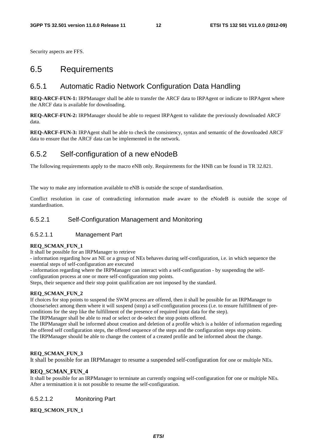Security aspects are FFS.

### 6.5 Requirements

### 6.5.1 Automatic Radio Network Configuration Data Handling

**REQ-ARCF-FUN-1:** IRPManager shall be able to transfer the ARCF data to IRPAgent or indicate to IRPAgent where the ARCF data is available for downloading.

**REQ-ARCF-FUN-2:** IRPManager should be able to request IRPAgent to validate the previously downloaded ARCF data.

**REQ-ARCF-FUN-3:** IRPAgent shall be able to check the consistency, syntax and semantic of the downloaded ARCF data to ensure that the ARCF data can be implemented in the network.

### 6.5.2 Self-configuration of a new eNodeB

The following requirements apply to the macro eNB only. Requirements for the HNB can be found in TR 32.821.

The way to make any information available to eNB is outside the scope of standardisation.

Conflict resolution in case of contradicting information made aware to the eNodeB is outside the scope of standardisation.

### 6.5.2.1 Self-Configuration Management and Monitoring

### 6.5.2.1.1 Management Part

#### **REQ\_SCMAN\_FUN\_1**

It shall be possible for an IRPManager to retrieve

- information regarding how an NE or a group of NEs behaves during self-configuration, i.e. in which sequence the essential steps of self-configuration are executed

- information regarding where the IRPManager can interact with a self-configuration - by suspending the selfconfiguration process at one or more self-configuration stop points.

Steps, their sequence and their stop point qualification are not imposed by the standard.

#### **REQ\_SCMAN\_FUN\_2**

If choices for stop points to suspend the SWM process are offered, then it shall be possible for an IRPManager to choose/select among them where it will suspend (stop) a self-configuration process (i.e. to ensure fulfillment of preconditions for the step like the fulfillment of the presence of required input data for the step).

The IRPManager shall be able to read or select or de-select the stop points offered.

The IRPManager shall be informed about creation and deletion of a profile which is a holder of information regarding the offered self configuration steps, the offered sequence of the steps and the configuration steps stop points. The IRPManager should be able to change the content of a created profile and be informed about the change.

#### **REQ\_SCMAN\_FUN\_3**

It shall be possible for an IRPManager to resume a suspended self-configuration for one or multiple NEs.

#### **REQ\_SCMAN\_FUN\_4**

It shall be possible for an IRPManager to terminate an currently ongoing self-configuration for one or multiple NEs. After a terminattion it is not possible to resume the self-configuration.

#### 6.5.2.1.2 Monitoring Part

#### **REQ\_SCMON\_FUN\_1**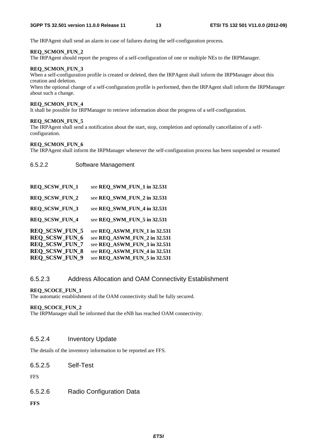The IRPAgent shall send an alarm in case of failures during the self-configuration process.

#### **REQ\_SCMON\_FUN\_2**

The IRPAgent should report the progress of a self-configuration of one or multiple NEs to the IRPManager.

#### **REQ\_SCMON\_FUN\_3**

When a self-configuration profile is created or deleted, then the IRPAgent shall inform the IRPManager about this creation and deletion.

When the optional change of a self-configuration profile is performed, then the IRPAgent shall inform the IRPManager about such a change.

#### **REQ\_SCMON\_FUN\_4**

It shall be possible for IRPManager to retrieve information about the progress of a self-configuration.

#### **REQ\_SCMON\_FUN\_5**

The IRPAgent shall send a notification about the start, stop, completion and optionally cancellation of a selfconfiguration.

#### **REQ\_SCMON\_FUN\_6**

The IRPAgent shall inform the IRPManager whenever the self-configuration process has been suspended or resumed

#### 6.5.2.2 Software Management

| <b>REQ_SCSW_FUN_1</b> | see REQ SWM FUN 1 in 32.531  |
|-----------------------|------------------------------|
| <b>REQ_SCSW_FUN_2</b> | see REQ_SWM_FUN_2 in 32.531  |
| <b>REQ_SCSW_FUN_3</b> | see REQ SWM FUN 4 in 32.531  |
| <b>REQ SCSW FUN 4</b> | see REQ_SWM_FUN_5 in 32.531  |
| <b>REQ SCSW FUN 5</b> | see REQ ASWM FUN 1 in 32.531 |
| <b>REQ SCSW FUN 6</b> | see REQ ASWM FUN 2 in 32.531 |
| <b>REQ SCSW FUN 7</b> | see REQ ASWM FUN 3 in 32.531 |
| <b>REQ_SCSW_FUN_8</b> | see REQ_ASWM_FUN_4 in 32.531 |
| REQ_SCSW_FUN_9        | see REQ ASWM FUN 5 in 32.531 |

### 6.5.2.3 Address Allocation and OAM Connectivity Establishment

#### **REQ\_SCOCE\_FUN\_1**

The automatic establishment of the OAM connectivity shall be fully secured.

#### **REQ\_SCOCE\_FUN\_2**

The IRPManager shall be informed that the eNB has reached OAM connectivity.

### 6.5.2.4 Inventory Update

The details of the inventory information to be reported are FFS.

6.5.2.5 Self-Test

**FFS** 

6.5.2.6 Radio Configuration Data

**FFS**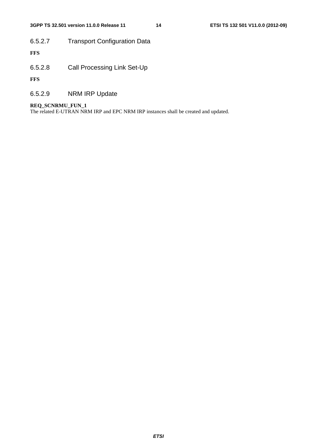### **3GPP TS 32.501 version 11.0.0 Release 11 14 ETSI TS 132 501 V11.0.0 (2012-09)**

# 6.5.2.7 Transport Configuration Data

**FFS**

6.5.2.8 Call Processing Link Set-Up

**FFS**

6.5.2.9 NRM IRP Update

#### **REQ\_SCNRMU\_FUN\_1**

The related E-UTRAN NRM IRP and EPC NRM IRP instances shall be created and updated.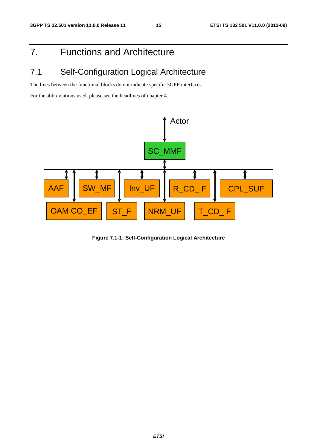# 7. Functions and Architecture

# 7.1 Self-Configuration Logical Architecture

The lines between the functional blocks do not indicate specific 3GPP interfaces.

For the abbreviations used, please see the headlines of chapter 4.



**Figure 7.1-1: Self-Configuration Logical Architecture**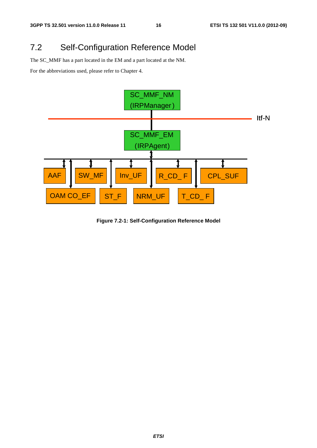# 7.2 Self-Configuration Reference Model

The SC\_MMF has a part located in the EM and a part located at the NM.

For the abbreviations used, please refer to Chapter 4.



**Figure 7.2-1: Self-Configuration Reference Model**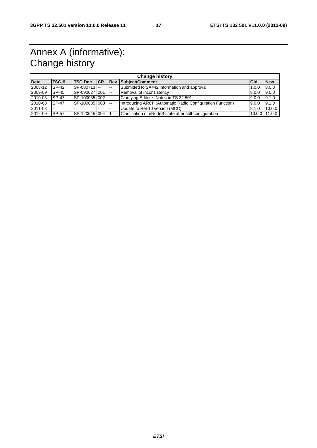# Annex A (informative): Change history

| <b>Change history</b> |              |                     |  |                |                                                           |              |                   |
|-----------------------|--------------|---------------------|--|----------------|-----------------------------------------------------------|--------------|-------------------|
| <b>Date</b>           | TSG#         | <b>TSG Doc. ICR</b> |  |                | Rev Subject/Comment                                       | <b>I</b> OId | <b>New</b>        |
| 2008-12               | SP-42        | SP-080713           |  | $\sim$         | Submitted to SA#42 information and approval               | 1.0.0        | 8.0.0             |
| 2009-09               | SP-45        | SP-090627 001       |  | $\overline{a}$ | Removal of inconsistency                                  | 8.0.0        | 9.0.0             |
| 2010-03               | <b>SP-47</b> | SP-100035 002       |  | <b>Let</b>     | Clarifying Editor"s Notes in TS 32.501                    | 9.0.0        | 9.1.0             |
| 2010-03               | <b>SP-47</b> | SP-100035 003       |  | $\sim$ $\sim$  | Introducing ARCF (Automatic Radio Configuration Function) | 9.0.0        | 9.1.0             |
| 2011-03               |              |                     |  |                | Update to Rel-10 version (MCC)                            | 9.1.0        | 10.0.0            |
| 2012-09               | SP-57        | SP-120645 004       |  |                | Clarification of eNodeB state after self-configuration    |              | $10.0.0$   11.0.0 |